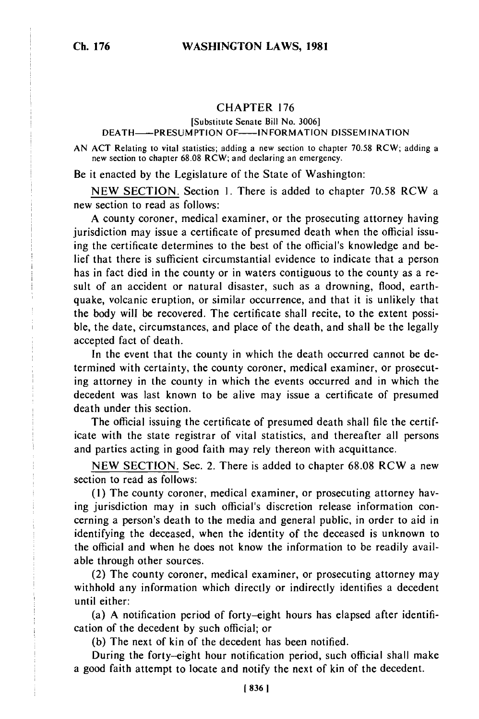## CHAPTER 176

[Substitute Senate Bill No. 3006]

## DEATH-- PRESUMPTION OF--- INFORMATION DISSEMINATION

AN ACT Relating to vital statistics; adding a new section to chapter 70.58 RCW; adding a new section to chapter 68.08 RCW; and declaring an emergency.

Be it enacted by the Legislature of the State of Washington:

NEW SECTION. Section 1. There is added to chapter 70.58 RCW a new section to read as follows:

A county coroner, medical examiner, or the prosecuting attorney having jurisdiction may issue a certificate of presumed death when the official issuing the certificate determines to the best of the official's knowledge and belief that there is sufficient circumstantial evidence to indicate that a person has in fact died in the county or in waters contiguous to the county as a result of an accident or natural disaster, such as a drowning, flood, earthquake, volcanic eruption, or similar occurrence, and that it is unlikely that the body will be recovered. The certificate shall recite, to the extent possible, the date, circumstances, and place of the death, and shall be the legally accepted fact of death.

In the event that the county in which the death occurred cannot be determined with certainty, the county coroner, medical examiner, or prosecuting attorney in the county in which the events occurred and in which the decedent was last known to be alive may issue a certificate of presumed death under this section.

The official issuing the certificate of presumed death shall file the certificate with the state registrar of vital statistics, and thereafter all persons and parties acting in good faith may rely thereon with acquittance.

NEW SECTION. Sec. 2. There is added to chapter 68.08 RCW a new section to read as follows:

**(1)** The county coroner, medical examiner, or prosecuting attorney having jurisdiction may in such official's discretion release information concerning a person's death to the media and general public, in order to aid in identifying the deceased, when the identity of the deceased is unknown to the official and when he does not know the information to be readily available through other sources.

(2) The county coroner, medical examiner, or prosecuting attorney may withhold any information which directly or indirectly identifies a decedent until either:

(a) A notification period of forty-eight hours has elapsed after identification of the decedent by such official; or

(b) The next of kin of the decedent has been notified.

During the forty-eight hour notification period, such official shall make a good faith attempt to locate and notify the next of kin of the decedent.